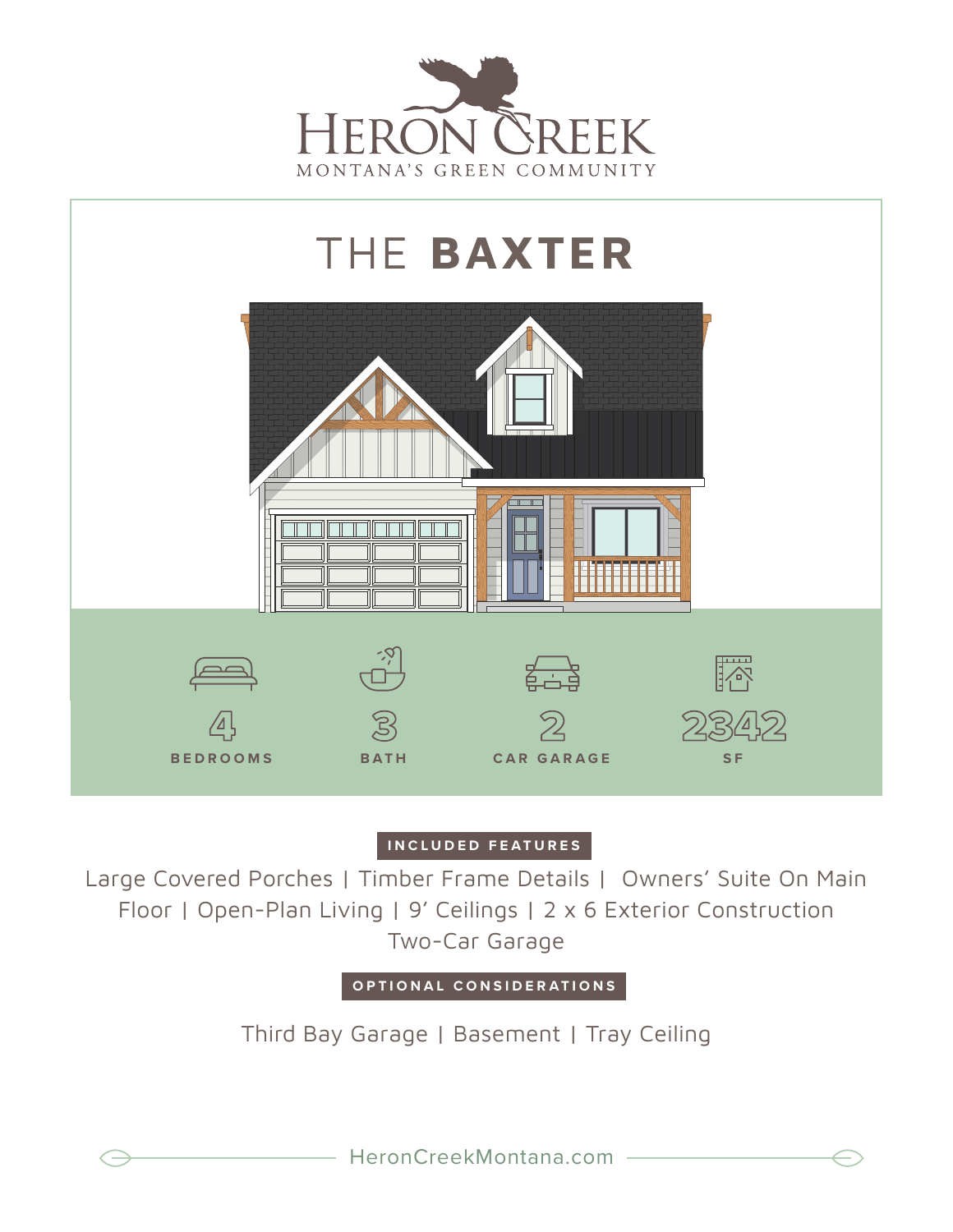



## **INCLUDED FEATURES**

Large Covered Porches | Timber Frame Details | Owners' Suite On Main Floor | Open-Plan Living | 9' Ceilings | 2 x 6 Exterior Construction Two-Car Garage

**OPTIONAL CONSIDERATIONS**

Third Bay Garage | Basement | Tray Ceiling

HeronCreekMontana.com